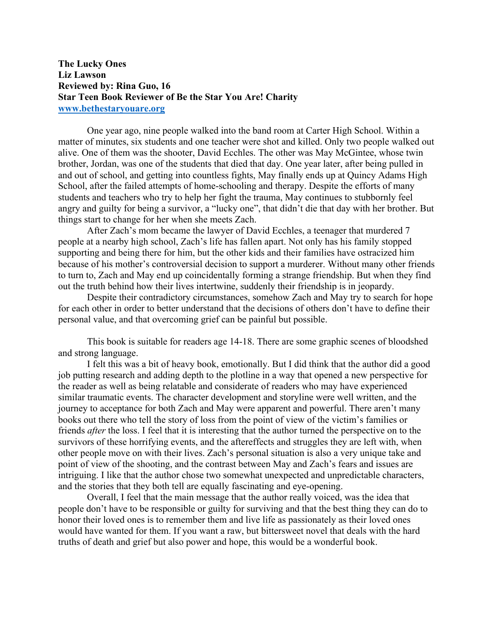**The Lucky Ones Liz Lawson Reviewed by: Rina Guo, 16 Star Teen Book Reviewer of Be the Star You Are! Charity www.bethestaryouare.org**

One year ago, nine people walked into the band room at Carter High School. Within a matter of minutes, six students and one teacher were shot and killed. Only two people walked out alive. One of them was the shooter, David Ecchles. The other was May McGintee, whose twin brother, Jordan, was one of the students that died that day. One year later, after being pulled in and out of school, and getting into countless fights, May finally ends up at Quincy Adams High School, after the failed attempts of home-schooling and therapy. Despite the efforts of many students and teachers who try to help her fight the trauma, May continues to stubbornly feel angry and guilty for being a survivor, a "lucky one", that didn't die that day with her brother. But things start to change for her when she meets Zach.

After Zach's mom became the lawyer of David Ecchles, a teenager that murdered 7 people at a nearby high school, Zach's life has fallen apart. Not only has his family stopped supporting and being there for him, but the other kids and their families have ostracized him because of his mother's controversial decision to support a murderer. Without many other friends to turn to, Zach and May end up coincidentally forming a strange friendship. But when they find out the truth behind how their lives intertwine, suddenly their friendship is in jeopardy.

Despite their contradictory circumstances, somehow Zach and May try to search for hope for each other in order to better understand that the decisions of others don't have to define their personal value, and that overcoming grief can be painful but possible.

This book is suitable for readers age 14-18. There are some graphic scenes of bloodshed and strong language.

I felt this was a bit of heavy book, emotionally. But I did think that the author did a good job putting research and adding depth to the plotline in a way that opened a new perspective for the reader as well as being relatable and considerate of readers who may have experienced similar traumatic events. The character development and storyline were well written, and the journey to acceptance for both Zach and May were apparent and powerful. There aren't many books out there who tell the story of loss from the point of view of the victim's families or friends *after* the loss. I feel that it is interesting that the author turned the perspective on to the survivors of these horrifying events, and the aftereffects and struggles they are left with, when other people move on with their lives. Zach's personal situation is also a very unique take and point of view of the shooting, and the contrast between May and Zach's fears and issues are intriguing. I like that the author chose two somewhat unexpected and unpredictable characters, and the stories that they both tell are equally fascinating and eye-opening.

Overall, I feel that the main message that the author really voiced, was the idea that people don't have to be responsible or guilty for surviving and that the best thing they can do to honor their loved ones is to remember them and live life as passionately as their loved ones would have wanted for them. If you want a raw, but bittersweet novel that deals with the hard truths of death and grief but also power and hope, this would be a wonderful book.